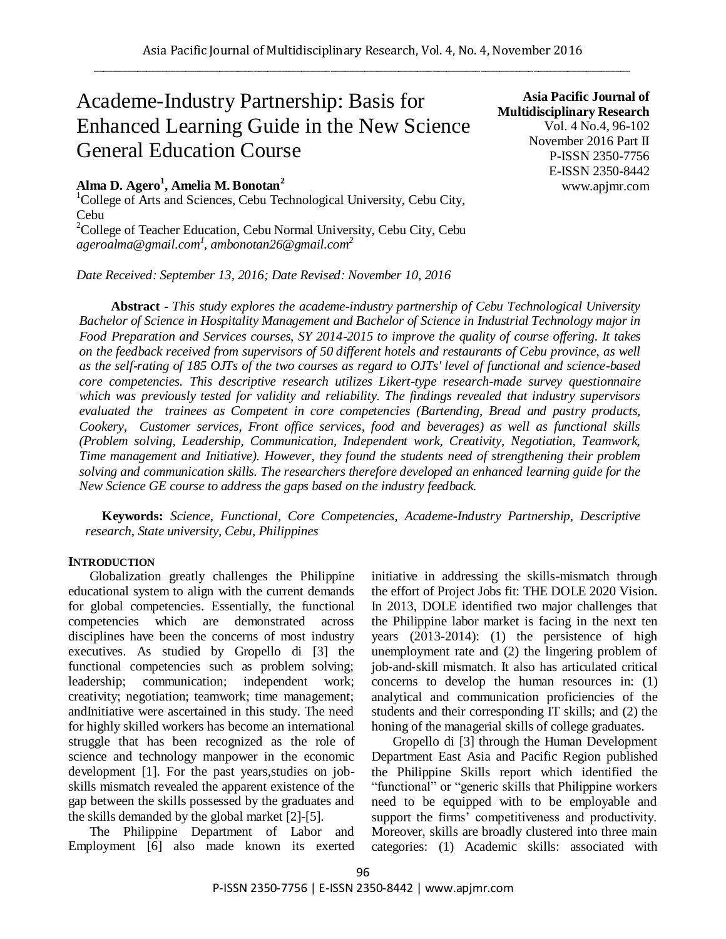# Academe-Industry Partnership: Basis for Enhanced Learning Guide in the New Science General Education Course

# **Alma D. Agero<sup>1</sup> , Amelia M. Bonotan<sup>2</sup>**

 $1$ College of Arts and Sciences, Cebu Technological University, Cebu City, Cebu

 $2^2$ College of Teacher Education, Cebu Normal University, Cebu City, Cebu *ageroalma@gmail.com<sup>1</sup> , ambonotan26@gmail.com<sup>2</sup>*

*Date Received: September 13, 2016; Date Revised: November 10, 2016*

**Asia Pacific Journal of Multidisciplinary Research** Vol. 4 No.4, 96-102 November 2016 Part II P-ISSN 2350-7756 E-ISSN 2350-8442 www.apjmr.com

**Abstract -** *This study explores the academe-industry partnership of Cebu Technological University Bachelor of Science in Hospitality Management and Bachelor of Science in Industrial Technology major in Food Preparation and Services courses, SY 2014-2015 to improve the quality of course offering. It takes on the feedback received from supervisors of 50 different hotels and restaurants of Cebu province, as well as the self-rating of 185 OJTs of the two courses as regard to OJTs' level of functional and science-based core competencies. This descriptive research utilizes Likert-type research-made survey questionnaire which was previously tested for validity and reliability. The findings revealed that industry supervisors evaluated the trainees as Competent in core competencies (Bartending, Bread and pastry products, Cookery, Customer services, Front office services, food and beverages) as well as functional skills (Problem solving, Leadership, Communication, Independent work, Creativity, Negotiation, Teamwork, Time management and Initiative). However, they found the students need of strengthening their problem solving and communication skills. The researchers therefore developed an enhanced learning guide for the New Science GE course to address the gaps based on the industry feedback.*

**Keywords:** *Science, Functional, Core Competencies, Academe-Industry Partnership, Descriptive research, State university, Cebu, Philippines*

## **INTRODUCTION**

Globalization greatly challenges the Philippine educational system to align with the current demands for global competencies. Essentially, the functional competencies which are demonstrated across disciplines have been the concerns of most industry executives. As studied by Gropello di [3] the functional competencies such as problem solving; leadership; communication; independent work; creativity; negotiation; teamwork; time management; andInitiative were ascertained in this study. The need for highly skilled workers has become an international struggle that has been recognized as the role of science and technology manpower in the economic development [1]. For the past years, studies on jobskills mismatch revealed the apparent existence of the gap between the skills possessed by the graduates and the skills demanded by the global market [2]-[5].

The Philippine Department of Labor and Employment [6] also made known its exerted initiative in addressing the skills-mismatch through the effort of Project Jobs fit: THE DOLE 2020 Vision. In 2013, DOLE identified two major challenges that the Philippine labor market is facing in the next ten years (2013-2014): (1) the persistence of high unemployment rate and (2) the lingering problem of job‐and‐skill mismatch. It also has articulated critical concerns to develop the human resources in: (1) analytical and communication proficiencies of the students and their corresponding IT skills; and (2) the honing of the managerial skills of college graduates.

Gropello di [3] through the Human Development Department East Asia and Pacific Region published the Philippine Skills report which identified the "functional" or "generic skills that Philippine workers need to be equipped with to be employable and support the firms' competitiveness and productivity. Moreover, skills are broadly clustered into three main categories: (1) Academic skills: associated with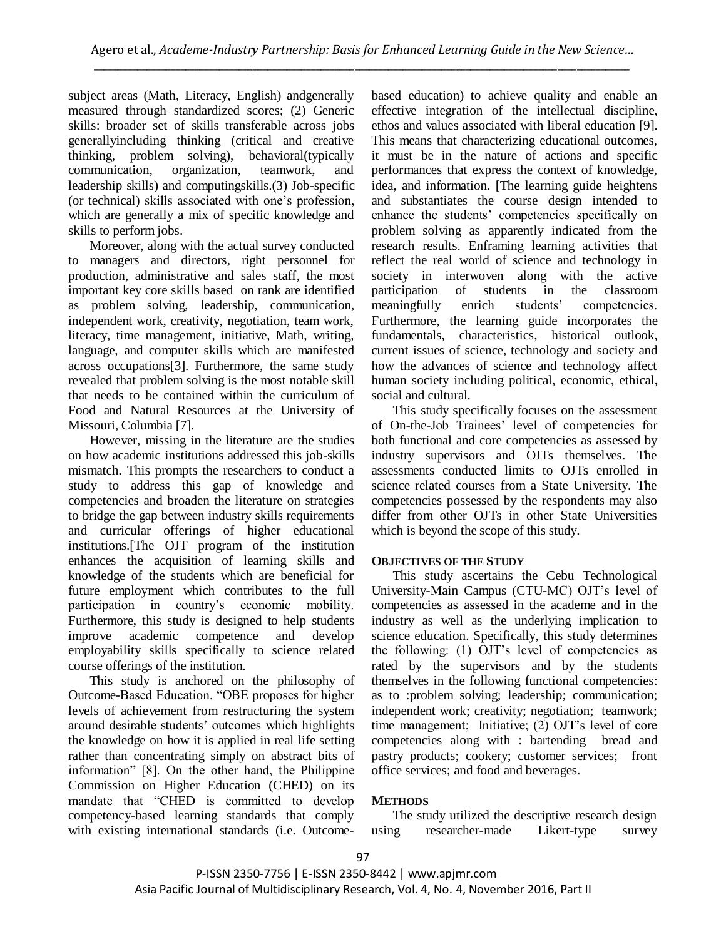subject areas (Math, Literacy, English) andgenerally measured through standardized scores; (2) Generic skills: broader set of skills transferable across jobs generallyincluding thinking (critical and creative thinking, problem solving), behavioral(typically communication, organization, teamwork, and leadership skills) and computingskills.(3) Job-specific (or technical) skills associated with one's profession, which are generally a mix of specific knowledge and skills to perform jobs.

Moreover, along with the actual survey conducted to managers and directors, right personnel for production, administrative and sales staff, the most important key core skills based on rank are identified as problem solving, leadership, communication, independent work, creativity, negotiation, team work, literacy, time management, initiative, Math, writing, language, and computer skills which are manifested across occupations[3]. Furthermore, the same study revealed that problem solving is the most notable skill that needs to be contained within the curriculum of Food and Natural Resources at the University of Missouri, Columbia [7].

However, missing in the literature are the studies on how academic institutions addressed this job-skills mismatch. This prompts the researchers to conduct a study to address this gap of knowledge and competencies and broaden the literature on strategies to bridge the gap between industry skills requirements and curricular offerings of higher educational institutions.[The OJT program of the institution enhances the acquisition of learning skills and knowledge of the students which are beneficial for future employment which contributes to the full participation in country's economic mobility. Furthermore, this study is designed to help students improve academic competence and develop employability skills specifically to science related course offerings of the institution.

This study is anchored on the philosophy of Outcome-Based Education. "OBE proposes for higher levels of achievement from restructuring the system around desirable students' outcomes which highlights the knowledge on how it is applied in real life setting rather than concentrating simply on abstract bits of information" [8]. On the other hand, the Philippine Commission on Higher Education (CHED) on its mandate that "CHED is committed to develop competency-based learning standards that comply with existing international standards (i.e. Outcomebased education) to achieve quality and enable an effective integration of the intellectual discipline, ethos and values associated with liberal education [9]. This means that characterizing educational outcomes, it must be in the nature of actions and specific performances that express the context of knowledge, idea, and information. [The learning guide heightens and substantiates the course design intended to enhance the students' competencies specifically on problem solving as apparently indicated from the research results. Enframing learning activities that reflect the real world of science and technology in society in interwoven along with the active participation of students in the classroom meaningfully enrich students' competencies. Furthermore, the learning guide incorporates the fundamentals, characteristics, historical outlook, current issues of science, technology and society and how the advances of science and technology affect human society including political, economic, ethical, social and cultural.

This study specifically focuses on the assessment of On-the-Job Trainees' level of competencies for both functional and core competencies as assessed by industry supervisors and OJTs themselves. The assessments conducted limits to OJTs enrolled in science related courses from a State University. The competencies possessed by the respondents may also differ from other OJTs in other State Universities which is beyond the scope of this study.

# **OBJECTIVES OF THE STUDY**

This study ascertains the Cebu Technological University-Main Campus (CTU-MC) OJT's level of competencies as assessed in the academe and in the industry as well as the underlying implication to science education. Specifically, this study determines the following: (1) OJT's level of competencies as rated by the supervisors and by the students themselves in the following functional competencies: as to :problem solving; leadership; communication; independent work; creativity; negotiation; teamwork; time management; Initiative; (2) OJT's level of core competencies along with : bartending bread and pastry products; cookery; customer services; front office services; and food and beverages.

# **METHODS**

The study utilized the descriptive research design using researcher-made Likert-type survey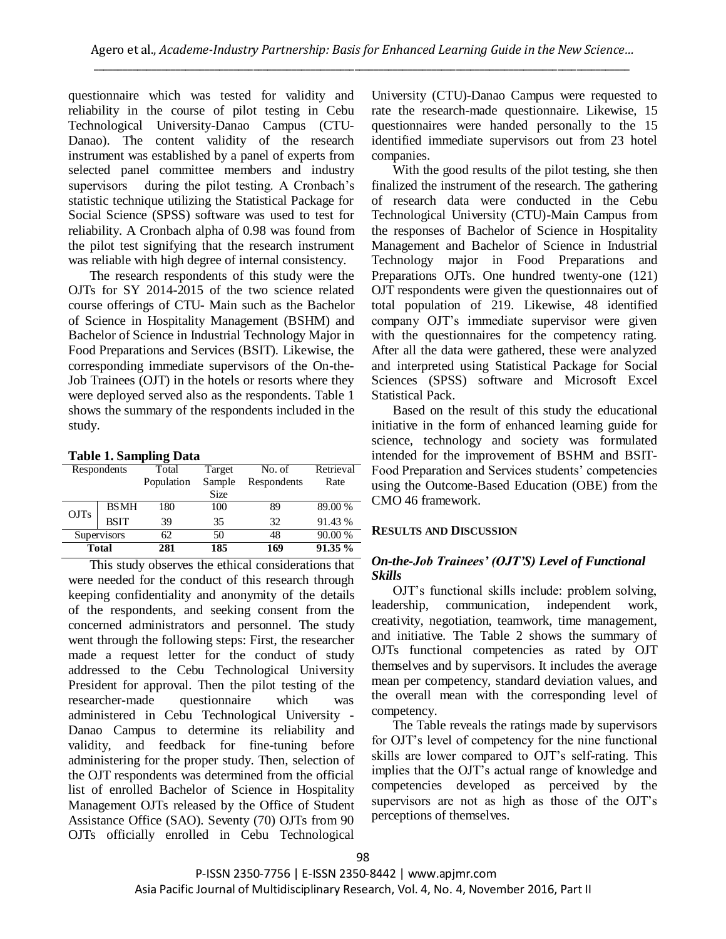questionnaire which was tested for validity and reliability in the course of pilot testing in Cebu Technological University-Danao Campus (CTU-Danao). The content validity of the research instrument was established by a panel of experts from selected panel committee members and industry supervisors during the pilot testing. A Cronbach's statistic technique utilizing the Statistical Package for Social Science (SPSS) software was used to test for reliability. A Cronbach alpha of 0.98 was found from the pilot test signifying that the research instrument was reliable with high degree of internal consistency.

The research respondents of this study were the OJTs for SY 2014-2015 of the two science related course offerings of CTU- Main such as the Bachelor of Science in Hospitality Management (BSHM) and Bachelor of Science in Industrial Technology Major in Food Preparations and Services (BSIT). Likewise, the corresponding immediate supervisors of the On-the-Job Trainees (OJT) in the hotels or resorts where they were deployed served also as the respondents. Table 1 shows the summary of the respondents included in the study.

## **Table 1. Sampling Data**

| Respondents  |             | Total      | Target | No. of      | Retrieval |  |
|--------------|-------------|------------|--------|-------------|-----------|--|
|              |             | Population | Sample | Respondents | Rate      |  |
|              |             |            | Size   |             |           |  |
| <b>OJTs</b>  | <b>BSMH</b> | 180        | 100    | 89          | 89.00 %   |  |
|              | <b>BSIT</b> | 39         | 35     | 32          | 91.43 %   |  |
| Supervisors  |             | 62         | 50     | 48          | 90.00 %   |  |
| <b>Total</b> |             | 281        | 185    | 169         | 91.35 %   |  |
|              |             |            |        |             |           |  |

This study observes the ethical considerations that were needed for the conduct of this research through keeping confidentiality and anonymity of the details of the respondents, and seeking consent from the concerned administrators and personnel. The study went through the following steps: First, the researcher made a request letter for the conduct of study addressed to the Cebu Technological University President for approval. Then the pilot testing of the researcher-made questionnaire which was administered in Cebu Technological University - Danao Campus to determine its reliability and validity, and feedback for fine-tuning before administering for the proper study. Then, selection of the OJT respondents was determined from the official list of enrolled Bachelor of Science in Hospitality Management OJTs released by the Office of Student Assistance Office (SAO). Seventy (70) OJTs from 90 OJTs officially enrolled in Cebu Technological

University (CTU)-Danao Campus were requested to rate the research-made questionnaire. Likewise, 15 questionnaires were handed personally to the 15 identified immediate supervisors out from 23 hotel companies.

With the good results of the pilot testing, she then finalized the instrument of the research. The gathering of research data were conducted in the Cebu Technological University (CTU)-Main Campus from the responses of Bachelor of Science in Hospitality Management and Bachelor of Science in Industrial Technology major in Food Preparations and Preparations OJTs. One hundred twenty-one (121) OJT respondents were given the questionnaires out of total population of 219. Likewise, 48 identified company OJT's immediate supervisor were given with the questionnaires for the competency rating. After all the data were gathered, these were analyzed and interpreted using Statistical Package for Social Sciences (SPSS) software and Microsoft Excel Statistical Pack.

Based on the result of this study the educational initiative in the form of enhanced learning guide for science, technology and society was formulated intended for the improvement of BSHM and BSIT-Food Preparation and Services students' competencies using the Outcome-Based Education (OBE) from the CMO 46 framework.

# **RESULTS AND DISCUSSION**

# *On-the-Job Trainees' (OJT'S) Level of Functional Skills*

OJT's functional skills include: problem solving, leadership, communication, independent work, creativity, negotiation, teamwork, time management, and initiative. The Table 2 shows the summary of OJTs functional competencies as rated by OJT themselves and by supervisors. It includes the average mean per competency, standard deviation values, and the overall mean with the corresponding level of competency.

The Table reveals the ratings made by supervisors for OJT's level of competency for the nine functional skills are lower compared to OJT's self-rating. This implies that the OJT's actual range of knowledge and competencies developed as perceived by the supervisors are not as high as those of the OJT's perceptions of themselves.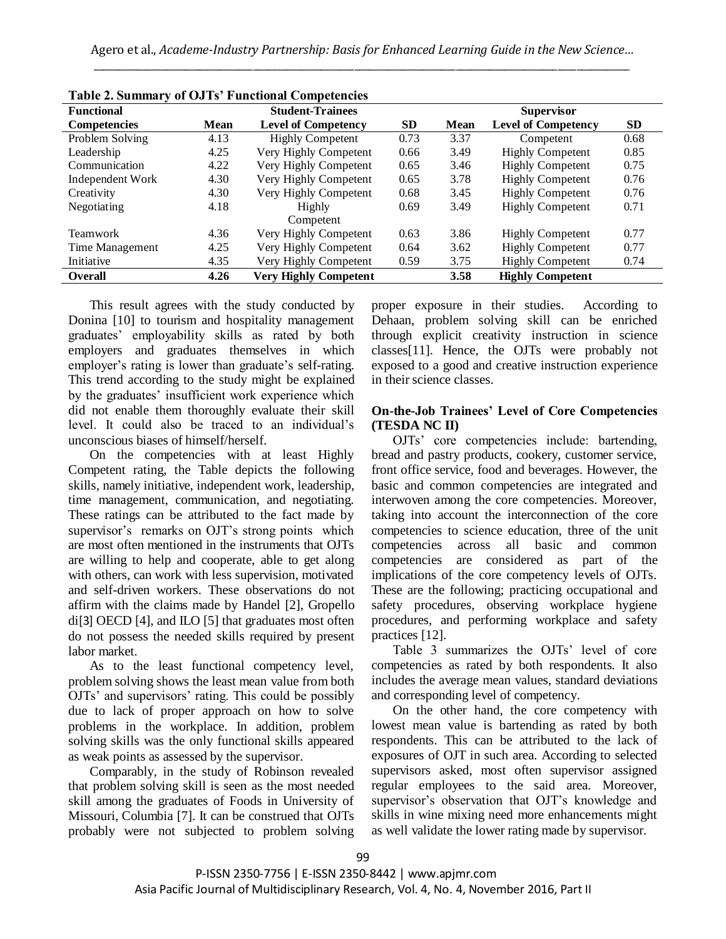| <b>Table 2. Summary 01 OJ 18 Functional Competencies</b> |             |                                         |      |                   |                            |           |  |
|----------------------------------------------------------|-------------|-----------------------------------------|------|-------------------|----------------------------|-----------|--|
| <b>Functional</b>                                        |             | <b>Student-Trainees</b>                 |      | <b>Supervisor</b> |                            |           |  |
| <b>Competencies</b>                                      | <b>Mean</b> | <b>SD</b><br><b>Level of Competency</b> |      | <b>Mean</b>       | <b>Level of Competency</b> | <b>SD</b> |  |
| Problem Solving                                          | 4.13        | <b>Highly Competent</b>                 | 0.73 | 3.37              | Competent                  | 0.68      |  |
| Leadership                                               | 4.25        | Very Highly Competent                   | 0.66 | 3.49              | <b>Highly Competent</b>    | 0.85      |  |
| Communication                                            | 4.22        | Very Highly Competent                   | 0.65 | 3.46              | <b>Highly Competent</b>    | 0.75      |  |
| Independent Work                                         | 4.30        | Very Highly Competent                   | 0.65 | 3.78              | <b>Highly Competent</b>    | 0.76      |  |
| Creativity                                               | 4.30        | Very Highly Competent                   | 0.68 | 3.45              | <b>Highly Competent</b>    | 0.76      |  |
| Negotiating                                              | 4.18        | Highly<br>0.69                          |      | 3.49              | <b>Highly Competent</b>    | 0.71      |  |
|                                                          |             | Competent                               |      |                   |                            |           |  |
| <b>Teamwork</b>                                          | 4.36        | Very Highly Competent                   | 0.63 | 3.86              | <b>Highly Competent</b>    | 0.77      |  |
| Time Management                                          | 4.25        | Very Highly Competent                   | 0.64 | 3.62              | <b>Highly Competent</b>    | 0.77      |  |
| Initiative                                               | 4.35        | Very Highly Competent                   | 0.59 | 3.75              | <b>Highly Competent</b>    | 0.74      |  |
| <b>Overall</b>                                           | 4.26        | <b>Very Highly Competent</b>            |      | 3.58              | <b>Highly Competent</b>    |           |  |

|  | Table 2. Summary of OJTs' Functional Competencies |  |
|--|---------------------------------------------------|--|
|--|---------------------------------------------------|--|

This result agrees with the study conducted by Donina [10] to tourism and hospitality management graduates' employability skills as rated by both employers and graduates themselves in which employer's rating is lower than graduate's self-rating. This trend according to the study might be explained by the graduates' insufficient work experience which did not enable them thoroughly evaluate their skill level. It could also be traced to an individual's unconscious biases of himself/herself.

On the competencies with at least Highly Competent rating, the Table depicts the following skills, namely initiative, independent work, leadership, time management, communication, and negotiating. These ratings can be attributed to the fact made by supervisor's remarks on OJT's strong points which are most often mentioned in the instruments that OJTs are willing to help and cooperate, able to get along with others, can work with less supervision, motivated and self-driven workers. These observations do not affirm with the claims made by Handel [2], Gropello di[3] OECD [4], and ILO [5] that graduates most often do not possess the needed skills required by present labor market.

As to the least functional competency level, problem solving shows the least mean value from both OJTs' and supervisors' rating. This could be possibly due to lack of proper approach on how to solve problems in the workplace. In addition, problem solving skills was the only functional skills appeared as weak points as assessed by the supervisor.

Comparably, in the study of Robinson revealed that problem solving skill is seen as the most needed skill among the graduates of Foods in University of Missouri, Columbia [7]. It can be construed that OJTs probably were not subjected to problem solving proper exposure in their studies. According to Dehaan, problem solving skill can be enriched through explicit creativity instruction in science classes[11]. Hence, the OJTs were probably not exposed to a good and creative instruction experience in their science classes.

## **On-the-Job Trainees' Level of Core Competencies (TESDA NC II)**

OJTs' core competencies include: bartending, bread and pastry products, cookery, customer service, front office service, food and beverages. However, the basic and common competencies are integrated and interwoven among the core competencies. Moreover, taking into account the interconnection of the core competencies to science education, three of the unit competencies across all basic and common competencies are considered as part of the implications of the core competency levels of OJTs. These are the following; practicing occupational and safety procedures, observing workplace hygiene procedures, and performing workplace and safety practices [12].

Table 3 summarizes the OJTs' level of core competencies as rated by both respondents. It also includes the average mean values, standard deviations and corresponding level of competency.

On the other hand, the core competency with lowest mean value is bartending as rated by both respondents. This can be attributed to the lack of exposures of OJT in such area. According to selected supervisors asked, most often supervisor assigned regular employees to the said area. Moreover, supervisor's observation that OJT's knowledge and skills in wine mixing need more enhancements might as well validate the lower rating made by supervisor.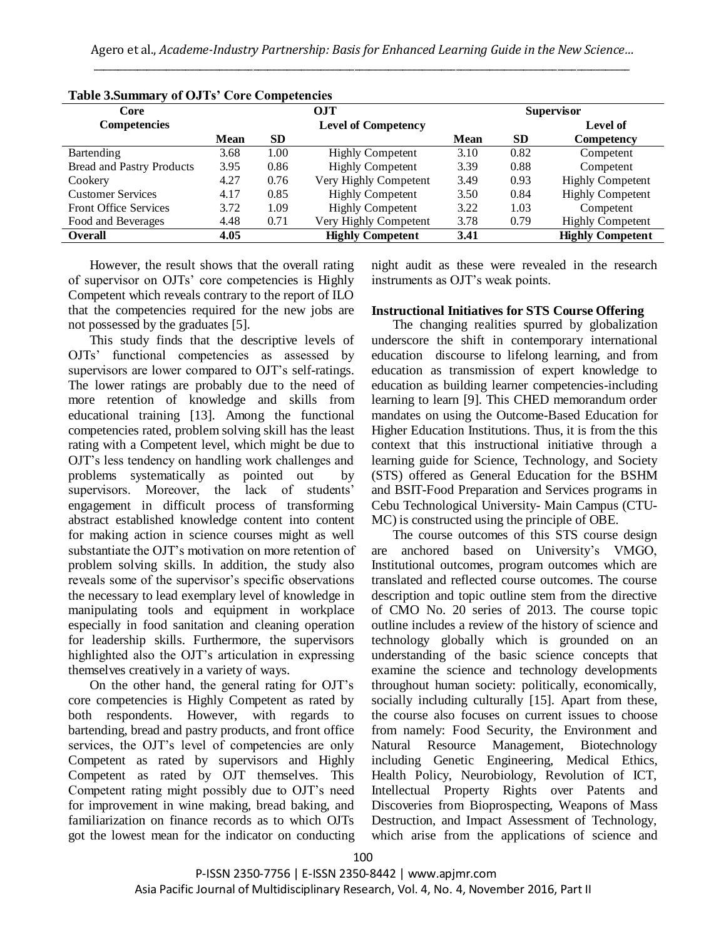| <b>Table 3.Summary of OJ Is' Core Competencies</b> |             |                            |                         |                   |           |                         |  |
|----------------------------------------------------|-------------|----------------------------|-------------------------|-------------------|-----------|-------------------------|--|
| Core                                               |             | <b>OJT</b>                 |                         | <b>Supervisor</b> |           |                         |  |
| <b>Competencies</b>                                |             | <b>Level of Competency</b> |                         |                   |           | Level of                |  |
|                                                    | <b>Mean</b> | <b>SD</b>                  |                         | <b>Mean</b>       | <b>SD</b> | Competency              |  |
| Bartending                                         | 3.68        | 1.00                       | <b>Highly Competent</b> | 3.10              | 0.82      | Competent               |  |
| <b>Bread and Pastry Products</b>                   | 3.95        | 0.86                       | <b>Highly Competent</b> | 3.39              | 0.88      | Competent               |  |
| Cookery                                            | 4.27        | 0.76                       | Very Highly Competent   | 3.49              | 0.93      | <b>Highly Competent</b> |  |
| <b>Customer Services</b>                           | 4.17        | 0.85                       | <b>Highly Competent</b> | 3.50              | 0.84      | <b>Highly Competent</b> |  |
| <b>Front Office Services</b>                       | 3.72        | 1.09                       | <b>Highly Competent</b> | 3.22              | 1.03      | Competent               |  |
| Food and Beverages                                 | 4.48        | 0.71                       | Very Highly Competent   | 3.78              | 0.79      | <b>Highly Competent</b> |  |
| <b>Overall</b>                                     | 4.05        |                            | <b>Highly Competent</b> | 3.41              |           | <b>Highly Competent</b> |  |
|                                                    |             |                            |                         |                   |           |                         |  |

**Table 3.Summary of OJTs' Core Competencies**

However, the result shows that the overall rating of supervisor on OJTs' core competencies is Highly Competent which reveals contrary to the report of ILO that the competencies required for the new jobs are not possessed by the graduates [5].

This study finds that the descriptive levels of OJTs' functional competencies as assessed by supervisors are lower compared to OJT's self-ratings. The lower ratings are probably due to the need of more retention of knowledge and skills from educational training [13]. Among the functional competencies rated, problem solving skill has the least rating with a Competent level, which might be due to OJT's less tendency on handling work challenges and problems systematically as pointed out by supervisors. Moreover, the lack of students' engagement in difficult process of transforming abstract established knowledge content into content for making action in science courses might as well substantiate the OJT's motivation on more retention of problem solving skills. In addition, the study also reveals some of the supervisor's specific observations the necessary to lead exemplary level of knowledge in manipulating tools and equipment in workplace especially in food sanitation and cleaning operation for leadership skills. Furthermore, the supervisors highlighted also the OJT's articulation in expressing themselves creatively in a variety of ways.

On the other hand, the general rating for OJT's core competencies is Highly Competent as rated by both respondents. However, with regards to bartending, bread and pastry products, and front office services, the OJT's level of competencies are only Competent as rated by supervisors and Highly Competent as rated by OJT themselves. This Competent rating might possibly due to OJT's need for improvement in wine making, bread baking, and familiarization on finance records as to which OJTs got the lowest mean for the indicator on conducting

night audit as these were revealed in the research instruments as OJT's weak points.

## **Instructional Initiatives for STS Course Offering**

The changing realities spurred by globalization underscore the shift in contemporary international education discourse to lifelong learning, and from education as transmission of expert knowledge to education as building learner competencies-including learning to learn [9]. This CHED memorandum order mandates on using the Outcome-Based Education for Higher Education Institutions. Thus, it is from the this context that this instructional initiative through a learning guide for Science, Technology, and Society (STS) offered as General Education for the BSHM and BSIT-Food Preparation and Services programs in Cebu Technological University- Main Campus (CTU-MC) is constructed using the principle of OBE.

The course outcomes of this STS course design are anchored based on University's VMGO, Institutional outcomes, program outcomes which are translated and reflected course outcomes. The course description and topic outline stem from the directive of CMO No. 20 series of 2013. The course topic outline includes a review of the history of science and technology globally which is grounded on an understanding of the basic science concepts that examine the science and technology developments throughout human society: politically, economically, socially including culturally [15]. Apart from these, the course also focuses on current issues to choose from namely: Food Security, the Environment and Natural Resource Management, Biotechnology including Genetic Engineering, Medical Ethics, Health Policy, Neurobiology, Revolution of ICT, Intellectual Property Rights over Patents and Discoveries from Bioprospecting, Weapons of Mass Destruction, and Impact Assessment of Technology, which arise from the applications of science and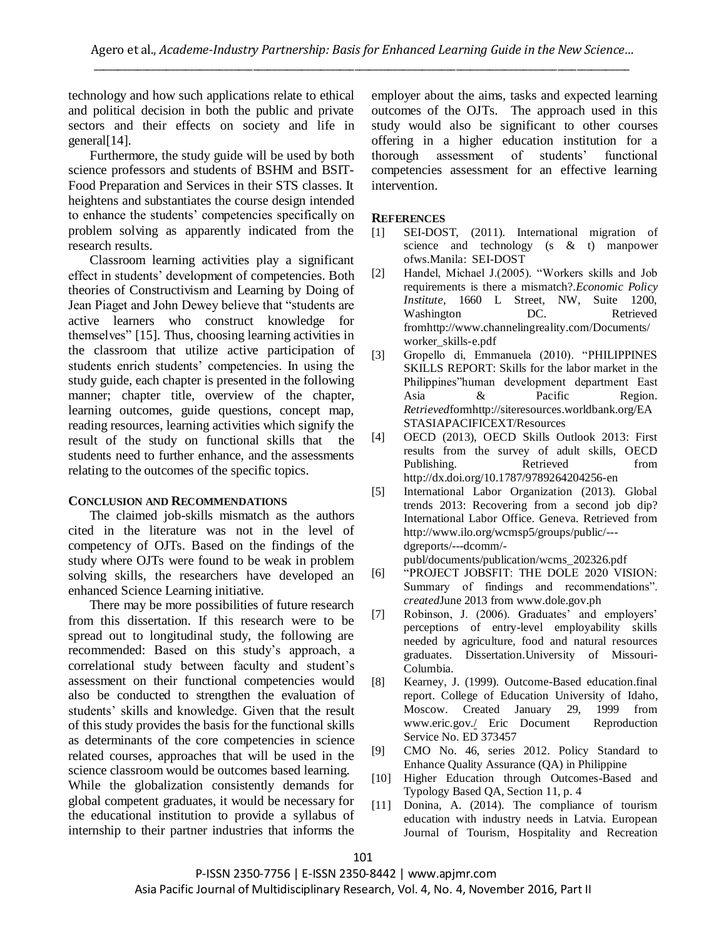technology and how such applications relate to ethical and political decision in both the public and private sectors and their effects on society and life in general[14].

Furthermore, the study guide will be used by both science professors and students of BSHM and BSIT-Food Preparation and Services in their STS classes. It heightens and substantiates the course design intended to enhance the students' competencies specifically on problem solving as apparently indicated from the research results.

Classroom learning activities play a significant effect in students' development of competencies. Both theories of Constructivism and Learning by Doing of Jean Piaget and John Dewey believe that "students are active learners who construct knowledge for themselves" [15]. Thus, choosing learning activities in the classroom that utilize active participation of students enrich students' competencies. In using the study guide, each chapter is presented in the following manner; chapter title, overview of the chapter, learning outcomes, guide questions, concept map, reading resources, learning activities which signify the result of the study on functional skills that the students need to further enhance, and the assessments relating to the outcomes of the specific topics.

#### **CONCLUSION AND RECOMMENDATIONS**

The claimed job-skills mismatch as the authors cited in the literature was not in the level of competency of OJTs. Based on the findings of the study where OJTs were found to be weak in problem solving skills, the researchers have developed an enhanced Science Learning initiative.

There may be more possibilities of future research from this dissertation. If this research were to be spread out to longitudinal study, the following are recommended: Based on this study's approach, a correlational study between faculty and student's assessment on their functional competencies would also be conducted to strengthen the evaluation of students' skills and knowledge. Given that the result of this study provides the basis for the functional skills as determinants of the core competencies in science related courses, approaches that will be used in the science classroom would be outcomes based learning. While the globalization consistently demands for global competent graduates, it would be necessary for the educational institution to provide a syllabus of internship to their partner industries that informs the

employer about the aims, tasks and expected learning outcomes of the OJTs. The approach used in this study would also be significant to other courses offering in a higher education institution for a thorough assessment of students' functional competencies assessment for an effective learning intervention.

#### **REFERENCES**

- [1] SEI-DOST, (2011). International migration of science and technology (s & t) manpower ofws.Manila: SEI-DOST
- [2] Handel, Michael J.(2005). "Workers skills and Job requirements is there a mismatch?.*Economic Policy Institute*, 1660 L Street, NW, Suite 1200, Washington DC. Retrieved fromhttp://www.channelingreality.com/Documents/ worker\_skills-e.pdf
- [3] Gropello di, Emmanuela (2010). "PHILIPPINES SKILLS REPORT: Skills for the labor market in the Philippines"human development department East Asia & Pacific Region. *Retrieved*formhttp://siteresources.worldbank.org/EA STASIAPACIFICEXT/Resources
- [4] OECD (2013), OECD Skills Outlook 2013: First results from the survey of adult skills, OECD Publishing. Retrieved from http://dx.doi.org/10.1787/9789264204256-en
- [5] International Labor Organization (2013). Global trends 2013: Recovering from a second job dip? International Labor Office. Geneva. Retrieved from http://www.ilo.org/wcmsp5/groups/public/-- dgreports/---dcomm/-

publ/documents/publication/wcms\_202326.pdf

- [6] "PROJECT JOBSFIT: THE DOLE 2020 VISION: Summary of findings and recommendations". *created*June 2013 from www.dole.gov.ph
- [7] Robinson, J. (2006). Graduates' and employers' perceptions of entry-level employability skills needed by agriculture, food and natural resources graduates. Dissertation.University of Missouri-Columbia.
- [8] Kearney, J. (1999). Outcome-Based education.final report. College of Education University of Idaho, Moscow. Created January 29, 1999 from [www.eric.gov./](http://www.eric.gov./) Eric Document Reproduction Service No. ED 373457
- [9] CMO No. 46, series 2012. Policy Standard to Enhance Quality Assurance (QA) in Philippine
- [10] Higher Education through Outcomes-Based and Typology Based QA, Section 11, p. 4
- [11] Donina, A. (2014). The compliance of tourism education with industry needs in Latvia. European Journal of Tourism, Hospitality and Recreation